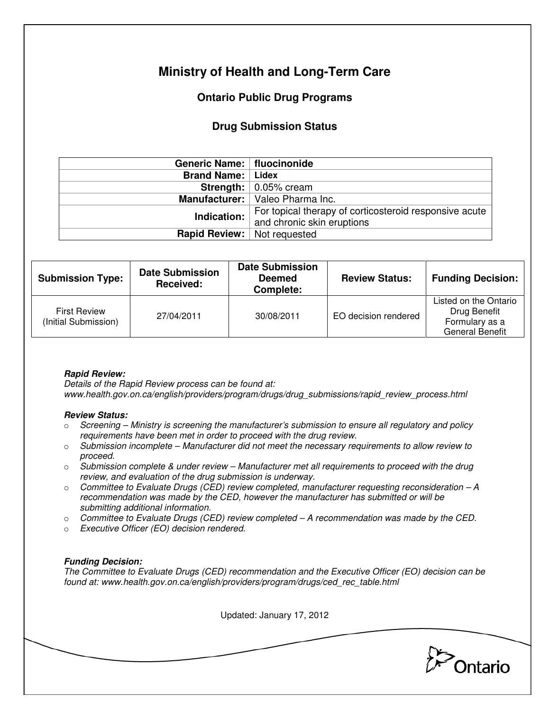# **Ministry of Health and Long-Term Care**

## **Ontario Public Drug Programs**

### **Drug Submission Status**

| Generic Name:   fluocinonide         |                                                        |  |
|--------------------------------------|--------------------------------------------------------|--|
| <b>Brand Name:   Lidex</b>           |                                                        |  |
|                                      | <b>Strength:</b> $\vert$ 0.05% cream                   |  |
|                                      | Manufacturer:   Valeo Pharma Inc.                      |  |
| Indication:                          | For topical therapy of corticosteroid responsive acute |  |
|                                      | and chronic skin eruptions                             |  |
| <b>Rapid Review:</b>   Not requested |                                                        |  |

| <b>Submission Type:</b>                     | <b>Date Submission</b><br>Received: | <b>Date Submission</b><br><b>Deemed</b><br>Complete: | <b>Review Status:</b> | <b>Funding Decision:</b>                                                          |
|---------------------------------------------|-------------------------------------|------------------------------------------------------|-----------------------|-----------------------------------------------------------------------------------|
| <b>First Review</b><br>(Initial Submission) | 27/04/2011                          | 30/08/2011                                           | EO decision rendered  | Listed on the Ontario<br>Drug Benefit<br>Formulary as a<br><b>General Benefit</b> |

#### **Rapid Review:**

Details of the Rapid Review process can be found at: www.health.gov.on.ca/english/providers/program/drugs/drug\_submissions/rapid\_review\_process.html

#### **Review Status:**

- $\circ$  Screening Ministry is screening the manufacturer's submission to ensure all regulatory and policy requirements have been met in order to proceed with the drug review.
- $\circ$  Submission incomplete Manufacturer did not meet the necessary requirements to allow review to proceed.
- $\circ$  Submission complete & under review Manufacturer met all requirements to proceed with the drug review, and evaluation of the drug submission is underway.
- $\circ$  Committee to Evaluate Drugs (CED) review completed, manufacturer requesting reconsideration  $-A$ recommendation was made by the CED, however the manufacturer has submitted or will be submitting additional information.
- $\circ$  Committee to Evaluate Drugs (CED) review completed A recommendation was made by the CED.
- o Executive Officer (EO) decision rendered.

### **Funding Decision:**

The Committee to Evaluate Drugs (CED) recommendation and the Executive Officer (EO) decision can be found at: www.health.gov.on.ca/english/providers/program/drugs/ced\_rec\_table.html

Updated: January 17, 2012

Ontario